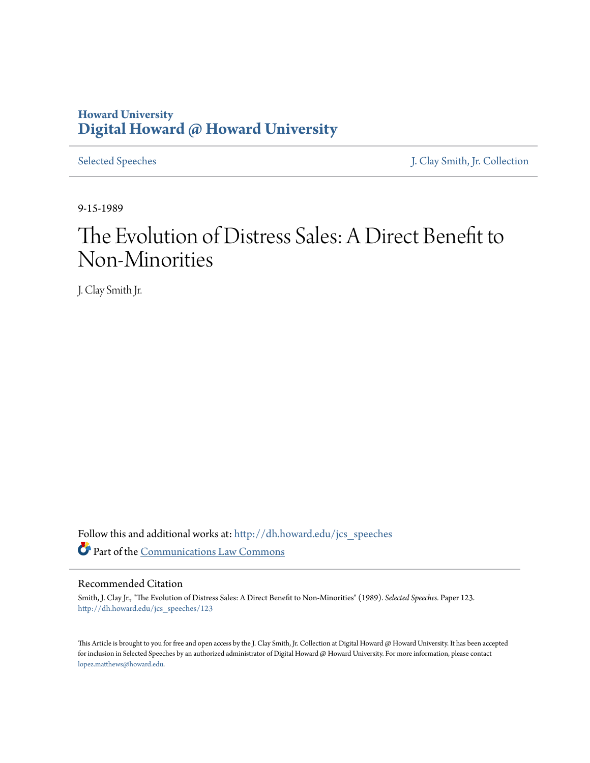## **Howard University [Digital Howard @ Howard University](http://dh.howard.edu?utm_source=dh.howard.edu%2Fjcs_speeches%2F123&utm_medium=PDF&utm_campaign=PDFCoverPages)**

[Selected Speeches](http://dh.howard.edu/jcs_speeches?utm_source=dh.howard.edu%2Fjcs_speeches%2F123&utm_medium=PDF&utm_campaign=PDFCoverPages) [J. Clay Smith, Jr. Collection](http://dh.howard.edu/jcsmith?utm_source=dh.howard.edu%2Fjcs_speeches%2F123&utm_medium=PDF&utm_campaign=PDFCoverPages)

9-15-1989

# The Evolution of Distress Sales: A Direct Benefit to Non-Minorities

J. Clay Smith Jr.

Follow this and additional works at: [http://dh.howard.edu/jcs\\_speeches](http://dh.howard.edu/jcs_speeches?utm_source=dh.howard.edu%2Fjcs_speeches%2F123&utm_medium=PDF&utm_campaign=PDFCoverPages) Part of the [Communications Law Commons](http://network.bepress.com/hgg/discipline/587?utm_source=dh.howard.edu%2Fjcs_speeches%2F123&utm_medium=PDF&utm_campaign=PDFCoverPages)

#### Recommended Citation

Smith, J. Clay Jr., "The Evolution of Distress Sales: A Direct Benefit to Non-Minorities" (1989). *Selected Speeches.* Paper 123. [http://dh.howard.edu/jcs\\_speeches/123](http://dh.howard.edu/jcs_speeches/123?utm_source=dh.howard.edu%2Fjcs_speeches%2F123&utm_medium=PDF&utm_campaign=PDFCoverPages)

This Article is brought to you for free and open access by the J. Clay Smith, Jr. Collection at Digital Howard @ Howard University. It has been accepted for inclusion in Selected Speeches by an authorized administrator of Digital Howard @ Howard University. For more information, please contact [lopez.matthews@howard.edu.](mailto:lopez.matthews@howard.edu)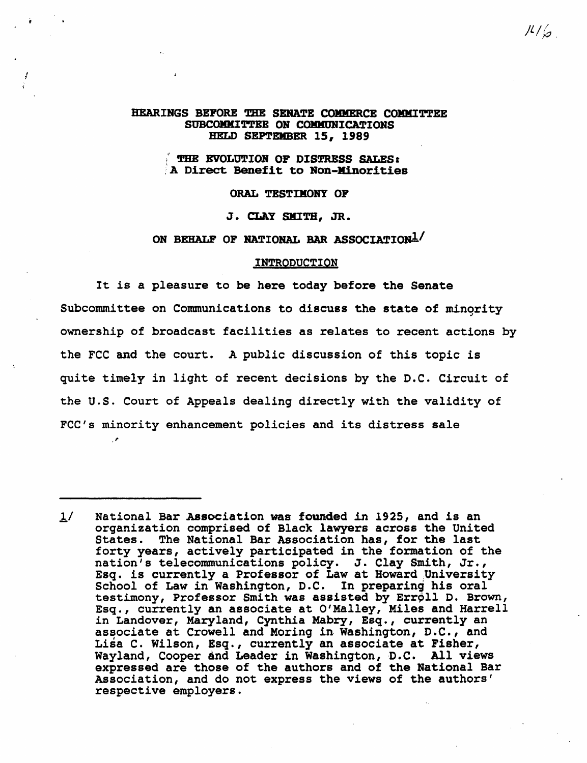#### HEARINGS BEFORE THE SENATE COMMERCE COMMITTEE SUBCOMMITTEE ON COMMUNICATIONS HELD SEPTBllBER *1S, 1989*

#### THE EVOLUTION OF DISTRESS SALES: A Direct Benefit to Non-Minorities

#### ORAL TESTIMONY OF

J. CLAY SMITH, JR.

### ON BEHALF OF NATIONAL BAR ASSOCIATION<sup>1</sup>/

#### INTRODUCTION

It is a pleasure to be here today before the Senate Subcommittee on Communications to discuss the state of minority ownership of broadcast facilities as relates to recent actions by the FCC and the court. A public discussion of this topic is quite timely in light of recent decisions by the D.C. Circuit of the u.s. Court of Appeals dealing directly with the validity of FCC's minority enhancement policies and its distress sale

I'

 $1/$  National Bar Association was founded in 1925, and is an organization comprised of Black lawyers across the United States. The National Bar Association has, for the last forty years, actively participated in the formation of the nation's telecommunications policy. J. Clay Smith, Jr., nation s cerecommunications poincy: O: Ciay Smith, Si:,<br>Esq. is currently a Professor of Law at Howard University<br>School of Law in Washington, D.C. In preparing his oral School of Law in Washington, D.C. In preparing his oral<br>testimony, Professor Smith was assisted by Erroll D. Brown, Esq., currently an associate at O'Malley, Miles and Harrell in Landover, Maryland, Cynthia Mabry, Esq., currently an associate at Crowell and Moring in Washington, D.C., and Lisa C. Wilson, Esq., currently an associate at Fisher, med of minesh, inquiredness in decoded of change, wayland, Cooper and Leader in Washington, D.C. All views expressed are those of the authors and of the National Bar Association, and do not express the views of the authors' respective employers.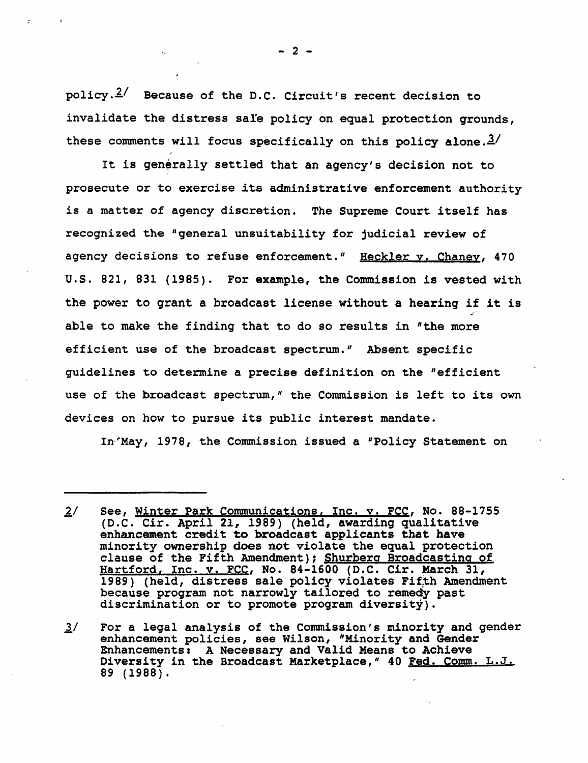policy.£/ Because of the D.C. Circuit's recent decision to invalidate the distress sale policy on equal protection grounds, these comments will focus specifically on this policy alone. $3/$ 

It is generally settled that an agency's decision not to prosecute or to exercise its administrative enforcement authority is a matter of agency discretion. The Supreme Court itself has recognized the "general unsuitability for judicial review of agency decisions to refuse enforcement." Heckler v. Chaney, 470 u.s. 821, 831 (1985). For example, the Commission is vested with the power to grant a broadcast license without a hearing if it is able to make the finding that to do so results in "the more efficient use of the broadcast spectrum." Absent specific guidelines to determine a precise definition on the "efficient use of the broadcast spectrum," the Commission is left to its own devices on how to pursue its public interest mandate.

In'May, 1978, the Commission issued a "Policy Statement on

II For a legal analysis of the Commission's minority and gender enhancement policies, see Wilson, "Minority and Gender Enhancements: A Necessary and Valid Means to Achieve Diversity in the Broadcast Marketplace," 40 Fed. Comm. L.J. 89 (1988).

 $-2 -$ 

<sup>2/</sup> See, Winter Park Communications, Inc. v. FCC, No. 88-1755 (D.C. Cir. April 21, 1989) (held, awarding qualitative enhancement credit to broadcast applicants that have minority ownership does not violate the equal protection clause of the Fifth Amendment); Shurberg Broadcasting of Hartford, Inc. v. FCC, No. 84-1600 (D.C. Cir. March 31, 1989) (held, distress sale policy violates Fifth Amendment because program not narrowly tailored to remedy past discrimination or to promote program diversity).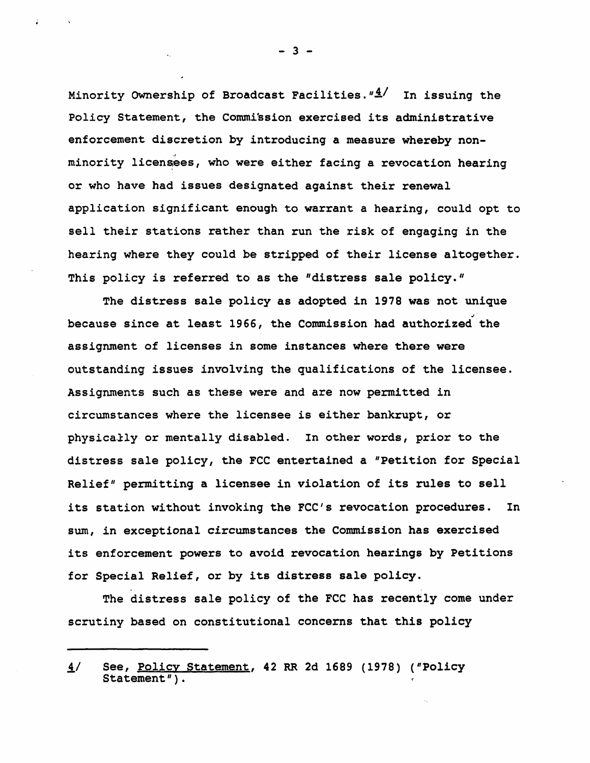Minority Ownership of Broadcast Facilities." $\frac{4}{1}$ . In issuing the Policy Statement, the Commission exercised its administrative enforcement discretion by introducing a measure whereby non minority licensees, who were either facing a revocation hearing or who have had issues designated against their renewal application significant enough to warrant a hearing, could opt to sell their stations rather than run the risk of engaging in the hearing where they could be stripped of their license altogether. This policy is referred to as the "distress sale policy."

The distress sale policy as adopted in 1978 was not unique .... because since at least 1966, the Commission had authorized the assignment of licenses in some instances where there were outstanding issues involving the qualifications of the licensee. Assignments such as these were and are now permitted in circumstances where the licensee is either bankrupt, or physically or mentally disabled. In other words, prior to the distress sale policy, the FCC entertained a "Petition for Special Relief" permitting a licensee in violation of its rules to sell its station without invoking the FCC's revocation procedures. In sum, in exceptional circumstances the Commission has exercised its enforcement powers to avoid revocation hearings by Petitions for Special Relief, or by its distress sale policy.

The distress sale policy of the FCC has recently come under scrutiny based on constitutional concerns that this policy

 $-3 -$ 

<sup>4/</sup> See, Policy Statement, 42 RR 2d 1689 (1978) ("Policy Statement") .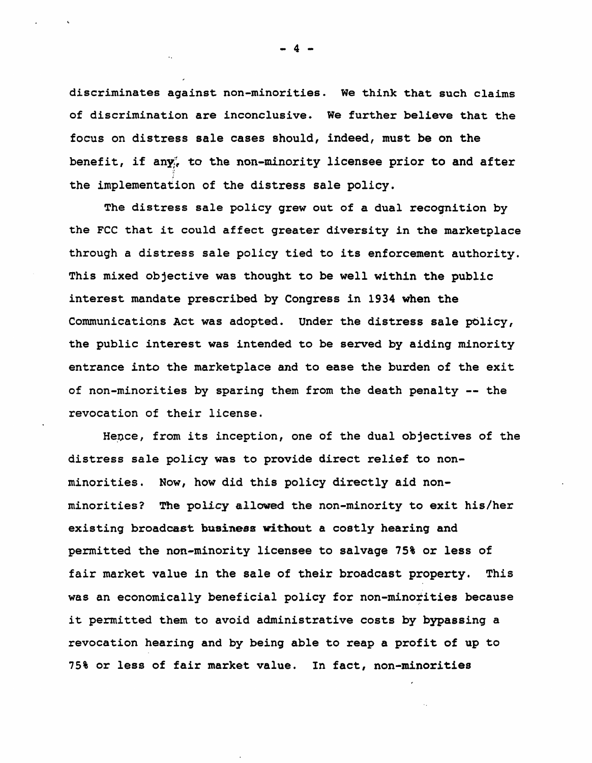discriminates against non-minorities. We think that such claims of discrimination are inconclusive. We further believe that the focus on distress sale cases should, indeed, must be on the benefit, if any $\zeta$  to the non-minority licensee prior to and after the implementation of the distress sale policy.

The distress sale policy grew out of a dual recognition by the FCC that it could affect greater diversity in the marketplace through a distress sale policy tied to its enforcement authority. This mixed objective was thought to be well within the public interest mandate prescribed by Congress in 1934 when the Communications Act was adopted. Under the distress sale policy, the public interest was intended to be served by aiding minority entrance into the marketplace and to ease the burden of the exit of non-minorities by sparing them from the death penalty -- the revocation of their license.

Hence, from its inception, one of the dual objectives of the distress sale policy was to provide direct relief to nonminorities. Now, how did this policy directly aid nonminorities? The policy allowed the non-minority to exit his/her existing broadcast business without a costly hearing and permitted the non-minority licensee to salvage 75% or less of fair market value in the sale of their broadcast property. This was an economically beneficial policy for non-minorities because it permitted them to avoid administrative costs by bypassing a revocation hearing and by being able to reap a profit of up to 75% or less of fair market value. In fact, non-minorities

4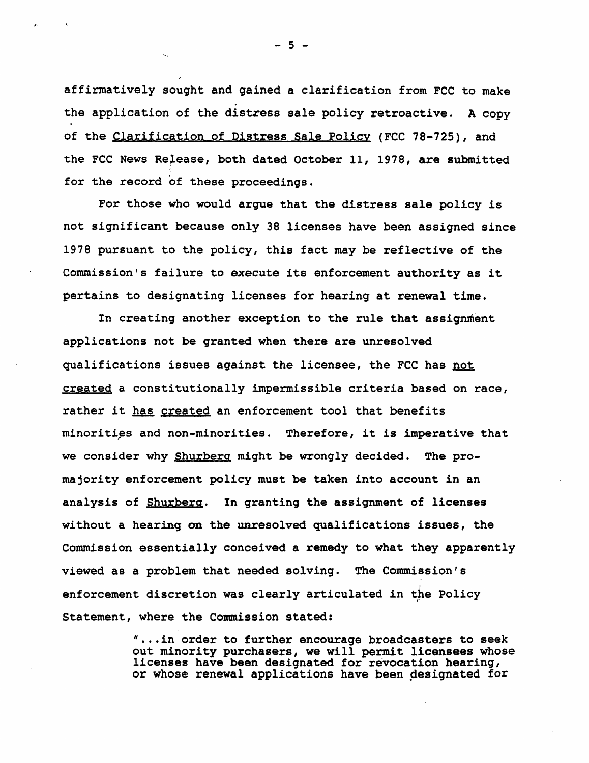affirmatively sought and gained a clarification from FCC to make the application of the distress sale policy retroactive. A copy of the Clarification of Distress Sale Policy (FCC 78-725), and the FCC News Release, both dated October 11, 1978, are submitted for the record of these proceedings.

For those who would argue that the distress sale policy is not significant because only 38 licenses have been assigned since 1978 pursuant to the policy, this fact may be reflective of the Commission's failure to execute its enforcement authority as it pertains to designating licenses for hearing at renewal time.

In creating another exception to the rule that assignment applications not be granted when there are unresolved qualifications issues against the licensee, the FCC has not created a constitutionally impermissible criteria based on race, rather it has created an enforcement tool that benefits minorities and non-minorities. Therefore, it is imperative that we consider why Shurberg might be wrongly decided. The promajority enforcement policy must be taken into account in an analysis of Shurberg. In granting the assignment of licenses without a hearing on the unresolved qualifications issues, the Commission essentially conceived a remedy to what they apparently viewed as a problem that needed solving. The Commission's enforcement discretion was clearly articulated in the Policy Statement, where the Commission stated:

> " ..• in order to further encourage broadcasters to seek out minority purchasers, we will permit licensees whose licenses have been designated for revocation hearing, or whose renewal applications have been designated for

- 5 - <sup>-</sup> 5 - <sup>-</sup>